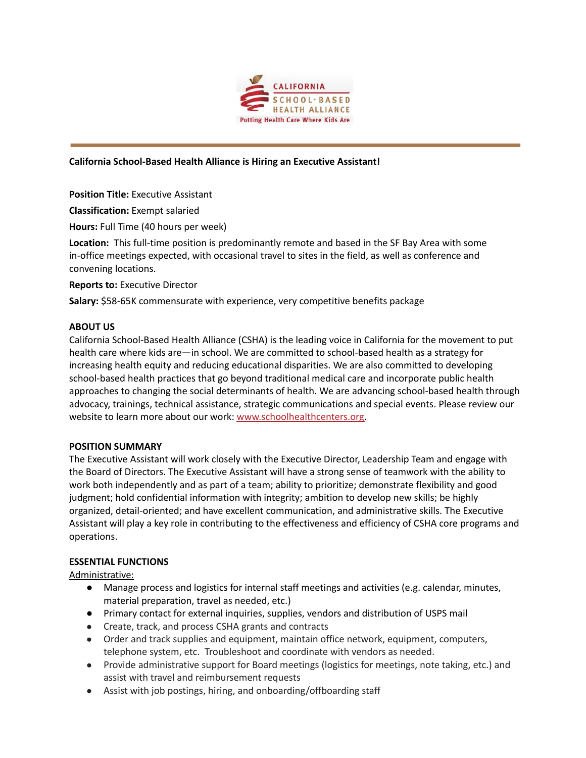

### **California School-Based Health Alliance is Hiring an Executive Assistant!**

**Position Title:** Executive Assistant

**Classification:** Exempt salaried

**Hours:** Full Time (40 hours per week)

**Location:** This full-time position is predominantly remote and based in the SF Bay Area with some in-office meetings expected, with occasional travel to sites in the field, as well as conference and convening locations.

**Reports to:** Executive Director

**Salary:** \$58-65K commensurate with experience, very competitive benefits package

#### **ABOUT US**

California School-Based Health Alliance (CSHA) is the leading voice in California for the movement to put health care where kids are—in school. We are committed to school-based health as a strategy for increasing health equity and reducing educational disparities. We are also committed to developing school-based health practices that go beyond traditional medical care and incorporate public health approaches to changing the social determinants of health. We are advancing school-based health through advocacy, trainings, technical assistance, strategic communications and special events. Please review our website to learn more about our work: [www.schoolhealthcenters.org.](http://www.schoolhealthcenters.org)

#### **POSITION SUMMARY**

The Executive Assistant will work closely with the Executive Director, Leadership Team and engage with the Board of Directors. The Executive Assistant will have a strong sense of teamwork with the ability to work both independently and as part of a team; ability to prioritize; demonstrate flexibility and good judgment; hold confidential information with integrity; ambition to develop new skills; be highly organized, detail-oriented; and have excellent communication, and administrative skills. The Executive Assistant will play a key role in contributing to the effectiveness and efficiency of CSHA core programs and operations.

#### **ESSENTIAL FUNCTIONS**

Administrative:

- Manage process and logistics for internal staff meetings and activities (e.g. calendar, minutes, material preparation, travel as needed, etc.)
- Primary contact for external inquiries, supplies, vendors and distribution of USPS mail
- Create, track, and process CSHA grants and contracts
- Order and track supplies and equipment, maintain office network, equipment, computers, telephone system, etc. Troubleshoot and coordinate with vendors as needed.
- Provide administrative support for Board meetings (logistics for meetings, note taking, etc.) and assist with travel and reimbursement requests
- Assist with job postings, hiring, and onboarding/offboarding staff